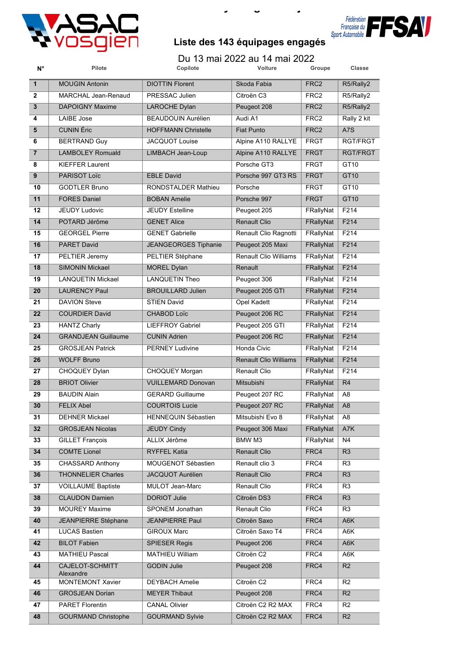



**20Ème Rallye Régional Ajolais**

### Du 13 mai 2022 au 14 mai 2022

| N°                      | Pilote                       | Copilote                    | Voiture                      | Groupe           | Classe         |
|-------------------------|------------------------------|-----------------------------|------------------------------|------------------|----------------|
| $\mathbf{1}$            | <b>MOUGIN Antonin</b>        | <b>DIOTTIN Florent</b>      | Skoda Fabia                  | FRC <sub>2</sub> | R5/Rally2      |
| $\mathbf{2}$            | <b>MARCHAL Jean-Renaud</b>   | <b>PRESSAC Julien</b>       | Citroën C <sub>3</sub>       | FRC <sub>2</sub> | R5/Rally2      |
| 3                       | <b>DAPOIGNY Maxime</b>       | <b>LAROCHE Dylan</b>        | Peugeot 208                  | FRC <sub>2</sub> | R5/Rally2      |
| 4                       | <b>LAIBE Jose</b>            | <b>BEAUDOUIN Aurélien</b>   | Audi A1                      | FRC <sub>2</sub> | Rally 2 kit    |
| 5                       | <b>CUNIN</b> Éric            | <b>HOFFMANN Christelle</b>  | <b>Fiat Punto</b>            | FRC <sub>2</sub> | A7S            |
| 6                       | <b>BERTRAND Guy</b>          | <b>JACQUOT Louise</b>       | Alpine A110 RALLYE           | <b>FRGT</b>      | RGT/FRGT       |
| $\overline{\mathbf{7}}$ | <b>LAMBOLEY Romuald</b>      | LIMBACH Jean-Loup           | Alpine A110 RALLYE           | <b>FRGT</b>      | RGT/FRGT       |
| 8                       | <b>KIEFFER Laurent</b>       |                             | Porsche GT3                  | <b>FRGT</b>      | GT10           |
| 9                       | <b>PARISOT Loïc</b>          | <b>EBLE David</b>           | Porsche 997 GT3 RS           | <b>FRGT</b>      | GT10           |
| 10                      | <b>GODTLER Bruno</b>         | <b>RONDSTALDER Mathieu</b>  | Porsche                      | <b>FRGT</b>      | GT10           |
| 11                      | <b>FORES Daniel</b>          | <b>BOBAN Amelie</b>         | Porsche 997                  | <b>FRGT</b>      | GT10           |
| 12                      | <b>JEUDY Ludovic</b>         | <b>JEUDY Estelline</b>      | Peugeot 205                  | FRallyNat        | F214           |
| 14                      | POTARD Jérôme                | <b>GENET Alice</b>          | <b>Renault Clio</b>          | FRallyNat        | F214           |
| 15                      | <b>GEORGEL Pierre</b>        | <b>GENET Gabrielle</b>      | Renault Clio Ragnotti        | FRallyNat        | F214           |
| 16                      | <b>PARET David</b>           | <b>JEANGEORGES Tiphanie</b> | Peugeot 205 Maxi             | FRallyNat        | F214           |
| 17                      | PELTIER Jeremy               | PELTIER Stéphane            | <b>Renault Clio Williams</b> | FRallyNat        | F214           |
| 18                      | <b>SIMONIN Mickael</b>       | <b>MOREL Dylan</b>          | Renault                      | FRallyNat        | F214           |
| 19                      | <b>LANQUETIN Mickael</b>     | <b>LANQUETIN Theo</b>       | Peugeot 306                  | FRallyNat        | F214           |
| 20                      | <b>LAURENCY Paul</b>         | <b>BROUILLARD Julien</b>    | Peugeot 205 GTI              | FRallyNat        | F214           |
| 21                      | <b>DAVION Steve</b>          | <b>STIEN David</b>          | Opel Kadett                  | FRallyNat        | F214           |
| 22                      | <b>COURDIER David</b>        | <b>CHABOD Loïc</b>          | Peugeot 206 RC               | FRallyNat        | F214           |
| 23                      | <b>HANTZ Charly</b>          | <b>LIEFFROY Gabriel</b>     | Peugeot 205 GTI              | FRallyNat        | F214           |
| 24                      | <b>GRANDJEAN Guillaume</b>   | <b>CUNIN Adrien</b>         | Peugeot 206 RC               | FRallyNat        | F214           |
| 25                      | <b>GROSJEAN Patrick</b>      | <b>PERNEY Ludivine</b>      | Honda Civic                  | FRallyNat        | F214           |
| 26                      | <b>WOLFF Bruno</b>           |                             | <b>Renault Clio Williams</b> | FRallyNat        | F214           |
| 27                      | CHOQUEY Dylan                | CHOQUEY Morgan              | <b>Renault Clio</b>          | FRallyNat        | F214           |
| 28                      | <b>BRIOT Olivier</b>         | <b>VUILLEMARD Donovan</b>   | <b>Mitsubishi</b>            | FRallyNat        | R4             |
| 29                      | <b>BAUDIN Alain</b>          | <b>GERARD Guillaume</b>     | Peugeot 207 RC               | FRallyNat        | A8             |
| 30                      | <b>FELIX Abel</b>            | <b>COURTOIS Lucie</b>       | Peugeot 207 RC               | FRallyNat        | A <sub>8</sub> |
| 31                      | <b>DEHNER Mickael</b>        | <b>HENNEQUIN Sébastien</b>  | Mitsubishi Evo 8             | FRallyNat        | A <sub>8</sub> |
| 32                      | <b>GROSJEAN Nicolas</b>      | <b>JEUDY Cindy</b>          | Peugeot 306 Maxi             | FRallyNat        | A7K            |
| 33                      | <b>GILLET François</b>       | ALLIX Jérôme                | BMW M3                       | FRallyNat        | N4             |
| 34                      | <b>COMTE Lionel</b>          | <b>RYFFEL Katia</b>         | <b>Renault Clio</b>          | FRC4             | R3             |
| 35                      | <b>CHASSARD Anthony</b>      | MOUGENOT Sébastien          | Renault clio 3               | FRC4             | R3             |
| 36                      | <b>THONNELIER Charles</b>    | <b>JACQUOT Aurélien</b>     | <b>Renault Clio</b>          | FRC4             | R <sub>3</sub> |
| 37                      | <b>VOILLAUME Baptiste</b>    | MULOT Jean-Marc             | Renault Clio                 | FRC4             | R <sub>3</sub> |
| 38                      | <b>CLAUDON Damien</b>        | <b>DORIOT Julie</b>         | Citroën DS3                  | FRC4             | R <sub>3</sub> |
| 39                      | <b>MOUREY Maxime</b>         | SPONEM Jonathan             | Renault Clio                 | FRC4             | R3             |
| 40                      | JEANPIERRE Stéphane          | JEANPIERRE Paul             | Citroën Saxo                 | FRC4             | A6K            |
| 41                      | <b>LUCAS Bastien</b>         | GIROUX Marc                 | Citroën Saxo T4              | FRC4             | A6K            |
| 42                      | <b>BILOT Fabien</b>          | <b>SPIESER Regis</b>        | Peugeot 206                  | FRC4             | A6K            |
| 43                      | <b>MATHIEU Pascal</b>        | <b>MATHIEU William</b>      | Citroën C2                   | FRC4             | A6K            |
| 44                      | CAJELOT-SCHMITT<br>Alexandre | <b>GODIN Julie</b>          | Peugeot 208                  | FRC4             | R <sub>2</sub> |
| 45                      | <b>MONTEMONT Xavier</b>      | <b>DEYBACH Amelie</b>       | Citroën C2                   | FRC4             | R <sub>2</sub> |
| 46                      | <b>GROSJEAN Dorian</b>       | <b>MEYER Thibaut</b>        | Peugeot 208                  | FRC4             | R2             |
| 47                      | <b>PARET Florentin</b>       | <b>CANAL Olivier</b>        | Citroën C2 R2 MAX            | FRC4             | R <sub>2</sub> |
| 48                      | <b>GOURMAND Christophe</b>   | <b>GOURMAND Sylvie</b>      | Citroën C2 R2 MAX            | FRC4             | R2             |
|                         |                              |                             |                              |                  |                |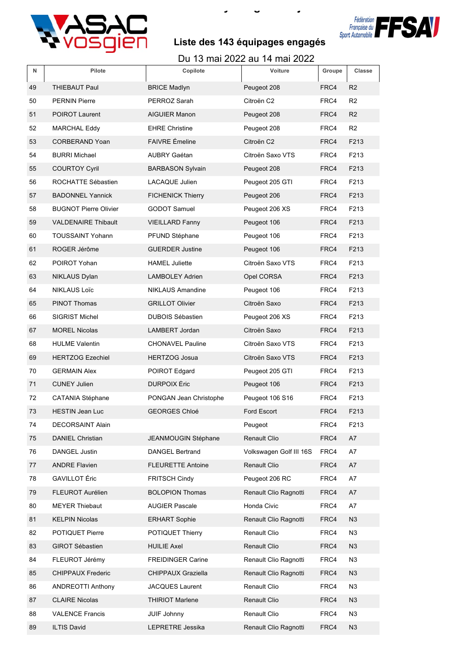



### Du 13 mai 2022 au 14 mai 2022

**20Ème Rallye Régional Ajolais**

| N  | Pilote                       | Copilote                   | Voiture                 | Groupe | Classe         |
|----|------------------------------|----------------------------|-------------------------|--------|----------------|
| 49 | <b>THIEBAUT Paul</b>         | <b>BRICE Madlyn</b>        | Peugeot 208             | FRC4   | R2             |
| 50 | <b>PERNIN Pierre</b>         | PERROZ Sarah               | Citroën C2              | FRC4   | R <sub>2</sub> |
| 51 | <b>POIROT Laurent</b>        | <b>AIGUIER Manon</b>       | Peugeot 208             | FRC4   | R <sub>2</sub> |
| 52 | <b>MARCHAL Eddy</b>          | <b>EHRE Christine</b>      | Peugeot 208             | FRC4   | R <sub>2</sub> |
| 53 | <b>CORBERAND Yoan</b>        | <b>FAIVRE</b> Émeline      | Citroën C2              | FRC4   | F213           |
| 54 | <b>BURRI Michael</b>         | <b>AUBRY Gaétan</b>        | Citroën Saxo VTS        | FRC4   | F213           |
| 55 | <b>COURTOY Cyril</b>         | <b>BARBASON Sylvain</b>    | Peugeot 208             | FRC4   | F213           |
| 56 | ROCHATTE Sébastien           | <b>LACAQUE Julien</b>      | Peugeot 205 GTI         | FRC4   | F213           |
| 57 | <b>BADONNEL Yannick</b>      | <b>FICHENICK Thierry</b>   | Peugeot 206             | FRC4   | F213           |
| 58 | <b>BUGNOT Pierre Olivier</b> | <b>GODOT Samuel</b>        | Peugeot 206 XS          | FRC4   | F213           |
| 59 | <b>VALDENAIRE Thibault</b>   | <b>VIEILLARD Fanny</b>     | Peugeot 106             | FRC4   | F213           |
| 60 | <b>TOUSSAINT Yohann</b>      | PFUND Stéphane             | Peugeot 106             | FRC4   | F213           |
| 61 | ROGER Jérôme                 | <b>GUERDER Justine</b>     | Peugeot 106             | FRC4   | F213           |
| 62 | POIROT Yohan                 | <b>HAMEL Juliette</b>      | Citroën Saxo VTS        | FRC4   | F213           |
| 63 | <b>NIKLAUS Dylan</b>         | <b>LAMBOLEY Adrien</b>     | Opel CORSA              | FRC4   | F213           |
| 64 | <b>NIKLAUS Loïc</b>          | <b>NIKLAUS Amandine</b>    | Peugeot 106             | FRC4   | F213           |
| 65 | <b>PINOT Thomas</b>          | <b>GRILLOT Olivier</b>     | Citroën Saxo            | FRC4   | F213           |
| 66 | <b>SIGRIST Michel</b>        | <b>DUBOIS Sébastien</b>    | Peugeot 206 XS          | FRC4   | F213           |
| 67 | <b>MOREL Nicolas</b>         | LAMBERT Jordan             | Citroën Saxo            | FRC4   | F213           |
| 68 | <b>HULME Valentin</b>        | <b>CHONAVEL Pauline</b>    | Citroën Saxo VTS        | FRC4   | F213           |
| 69 | <b>HERTZOG Ezechiel</b>      | <b>HERTZOG Josua</b>       | Citroën Saxo VTS        | FRC4   | F213           |
| 70 | <b>GERMAIN Alex</b>          | POIROT Edgard              | Peugeot 205 GTI         | FRC4   | F213           |
| 71 | <b>CUNEY Julien</b>          | <b>DURPOIX Éric</b>        | Peugeot 106             | FRC4   | F213           |
| 72 | <b>CATANIA Stéphane</b>      | PONGAN Jean Christophe     | Peugeot 106 S16         | FRC4   | F213           |
| 73 | <b>HESTIN Jean Luc</b>       | <b>GEORGES Chloé</b>       | Ford Escort             | FRC4   | F213           |
| 74 | DECORSAINT Alain             |                            | Peugeot                 | FRC4   | F213           |
| 75 | <b>DANIEL Christian</b>      | <b>JEANMOUGIN Stéphane</b> | Renault Clio            | FRC4   | A7             |
| 76 | <b>DANGEL Justin</b>         | <b>DANGEL Bertrand</b>     | Volkswagen Golf III 16S | FRC4   | A7             |
| 77 | <b>ANDRE Flavien</b>         | <b>FLEURETTE Antoine</b>   | <b>Renault Clio</b>     | FRC4   | A7             |
| 78 | <b>GAVILLOT</b> Éric         | <b>FRITSCH Cindy</b>       | Peugeot 206 RC          | FRC4   | A7             |
| 79 | FLEUROT Aurélien             | <b>BOLOPION Thomas</b>     | Renault Clio Ragnotti   | FRC4   | A7             |
| 80 | <b>MEYER Thiebaut</b>        | <b>AUGIER Pascale</b>      | Honda Civic             | FRC4   | A7             |
| 81 | <b>KELPIN Nicolas</b>        | <b>ERHART Sophie</b>       | Renault Clio Ragnotti   | FRC4   | N3             |
| 82 | POTIQUET Pierre              | POTIQUET Thierry           | Renault Clio            | FRC4   | N <sub>3</sub> |
| 83 | <b>GIROT Sébastien</b>       | <b>HUILIE Axel</b>         | Renault Clio            | FRC4   | N <sub>3</sub> |
| 84 | FLEUROT Jérémy               | <b>FREIDINGER Carine</b>   | Renault Clio Ragnotti   | FRC4   | N <sub>3</sub> |
| 85 | <b>CHIPPAUX Frederic</b>     | CHIPPAUX Graziella         | Renault Clio Ragnotti   | FRC4   | N <sub>3</sub> |
| 86 | <b>ANDREOTTI Anthony</b>     | <b>JACQUES Laurent</b>     | Renault Clio            | FRC4   | N <sub>3</sub> |
| 87 | <b>CLAIRE Nicolas</b>        | <b>THIRIOT Marlene</b>     | <b>Renault Clio</b>     | FRC4   | N <sub>3</sub> |
| 88 | <b>VALENCE Francis</b>       | JUIF Johnny                | <b>Renault Clio</b>     | FRC4   | N3             |
| 89 | <b>ILTIS David</b>           | LEPRETRE Jessika           | Renault Clio Ragnotti   | FRC4   | N <sub>3</sub> |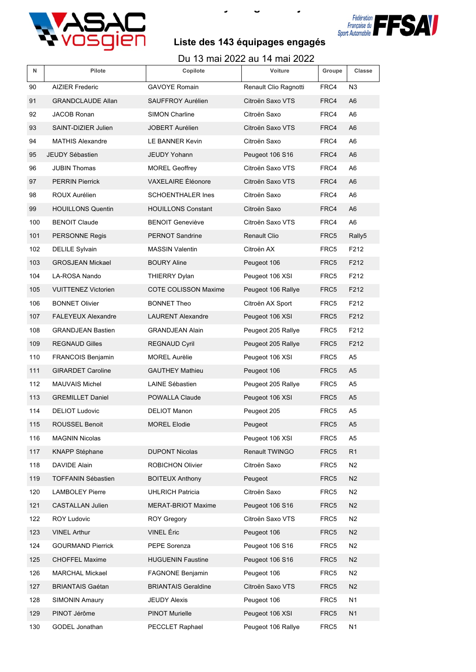



#### Du 13 mai 2022 au 14 mai 2022

**20Ème Rallye Régional Ajolais**

| N   | Pilote                     | Copilote                    | Voiture               | Groupe | Classe             |
|-----|----------------------------|-----------------------------|-----------------------|--------|--------------------|
| 90  | <b>AIZIER Frederic</b>     | <b>GAVOYE Romain</b>        | Renault Clio Ragnotti | FRC4   | N3                 |
| 91  | <b>GRANDCLAUDE Allan</b>   | SAUFFROY Aurélien           | Citroën Saxo VTS      | FRC4   | A6                 |
| 92  | <b>JACOB Ronan</b>         | <b>SIMON Charline</b>       | Citroën Saxo          | FRC4   | A6                 |
| 93  | SAINT-DIZIER Julien        | JOBERT Aurélien             | Citroën Saxo VTS      | FRC4   | A <sub>6</sub>     |
| 94  | <b>MATHIS Alexandre</b>    | LE BANNER Kevin             | Citroën Saxo          | FRC4   | A6                 |
| 95  | <b>JEUDY Sébastien</b>     | <b>JEUDY Yohann</b>         | Peugeot 106 S16       | FRC4   | A6                 |
| 96  | <b>JUBIN Thomas</b>        | <b>MOREL Geoffrey</b>       | Citroën Saxo VTS      | FRC4   | A6                 |
| 97  | <b>PERRIN Pierrick</b>     | <b>VAXELAIRE</b> Éléonore   | Citroën Saxo VTS      | FRC4   | A <sub>6</sub>     |
| 98  | ROUX Aurélien              | <b>SCHOENTHALER Ines</b>    | Citroën Saxo          | FRC4   | A6                 |
| 99  | <b>HOUILLONS Quentin</b>   | <b>HOUILLONS Constant</b>   | Citroën Saxo          | FRC4   | A6                 |
| 100 | <b>BENOIT Claude</b>       | <b>BENOIT Geneviève</b>     | Citroën Saxo VTS      | FRC4   | A6                 |
| 101 | PERSONNE Regis             | <b>PERNOT Sandrine</b>      | <b>Renault Clio</b>   | FRC5   | Rally <sub>5</sub> |
| 102 | <b>DELILE Sylvain</b>      | <b>MASSIN Valentin</b>      | Citroën AX            | FRC5   | F212               |
| 103 | <b>GROSJEAN Mickael</b>    | <b>BOURY Aline</b>          | Peugeot 106           | FRC5   | F212               |
| 104 | LA-ROSA Nando              | <b>THIERRY Dylan</b>        | Peugeot 106 XSI       | FRC5   | F212               |
| 105 | <b>VUITTENEZ Victorien</b> | <b>COTE COLISSON Maxime</b> | Peugeot 106 Rallye    | FRC5   | F212               |
| 106 | <b>BONNET Olivier</b>      | <b>BONNET Theo</b>          | Citroën AX Sport      | FRC5   | F212               |
| 107 | <b>FALEYEUX Alexandre</b>  | <b>LAURENT Alexandre</b>    | Peugeot 106 XSI       | FRC5   | F212               |
| 108 | <b>GRANDJEAN Bastien</b>   | <b>GRANDJEAN Alain</b>      | Peugeot 205 Rallye    | FRC5   | F212               |
| 109 | <b>REGNAUD Gilles</b>      | <b>REGNAUD Cyril</b>        | Peugeot 205 Rallye    | FRC5   | F212               |
| 110 | <b>FRANCOIS Benjamin</b>   | <b>MOREL Aurèlie</b>        | Peugeot 106 XSI       | FRC5   | A5                 |
| 111 | <b>GIRARDET Caroline</b>   | <b>GAUTHEY Mathieu</b>      | Peugeot 106           | FRC5   | A <sub>5</sub>     |
| 112 | <b>MAUVAIS Michel</b>      | LAINE Sébastien             | Peugeot 205 Rallye    | FRC5   | A <sub>5</sub>     |
| 113 | <b>GREMILLET Daniel</b>    | <b>POWALLA Claude</b>       | Peugeot 106 XSI       | FRC5   | A <sub>5</sub>     |
| 114 | <b>DELIOT Ludovic</b>      | <b>DELIOT Manon</b>         | Peugeot 205           | FRC5   | A5                 |
| 115 | ROUSSEL Benoit             | <b>MOREL Elodie</b>         | Peugeot               | FRC5   | A <sub>5</sub>     |
| 116 | <b>MAGNIN Nicolas</b>      |                             | Peugeot 106 XSI       | FRC5   | A <sub>5</sub>     |
| 117 | <b>KNAPP Stéphane</b>      | <b>DUPONT Nicolas</b>       | Renault TWINGO        | FRC5   | R <sub>1</sub>     |
| 118 | DAVIDE Alain               | ROBICHON Olivier            | Citroën Saxo          | FRC5   | N <sub>2</sub>     |
| 119 | <b>TOFFANIN Sébastien</b>  | <b>BOITEUX Anthony</b>      | Peugeot               | FRC5   | N <sub>2</sub>     |
| 120 | <b>LAMBOLEY Pierre</b>     | <b>UHLRICH Patricia</b>     | Citroën Saxo          | FRC5   | N <sub>2</sub>     |
| 121 | CASTALLAN Julien           | <b>MERAT-BRIOT Maxime</b>   | Peugeot 106 S16       | FRC5   | N <sub>2</sub>     |
| 122 | <b>ROY Ludovic</b>         | <b>ROY Gregory</b>          | Citroën Saxo VTS      | FRC5   | N <sub>2</sub>     |
| 123 | <b>VINEL Arthur</b>        | <b>VINEL Éric</b>           | Peugeot 106           | FRC5   | N2                 |
| 124 | <b>GOURMAND Pierrick</b>   | PEPE Sorenza                | Peugeot 106 S16       | FRC5   | N2                 |
| 125 | <b>CHOFFEL Maxime</b>      | <b>HUGUENIN Faustine</b>    | Peugeot 106 S16       | FRC5   | N <sub>2</sub>     |
| 126 | <b>MARCHAL Mickael</b>     | <b>FAGNONE Benjamin</b>     | Peugeot 106           | FRC5   | N <sub>2</sub>     |
| 127 | <b>BRIANTAIS Gaétan</b>    | <b>BRIANTAIS Geraldine</b>  | Citroën Saxo VTS      | FRC5   | N2                 |
| 128 | <b>SIMONIN Amaury</b>      | JEUDY Alexis                | Peugeot 106           | FRC5   | N <sub>1</sub>     |
| 129 | PINOT Jérôme               | <b>PINOT Murielle</b>       | Peugeot 106 XSI       | FRC5   | N <sub>1</sub>     |
| 130 | GODEL Jonathan             | PECCLET Raphael             | Peugeot 106 Rallye    | FRC5   | N <sub>1</sub>     |